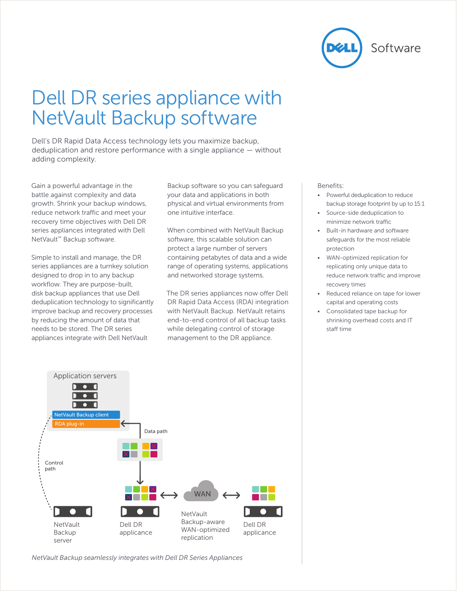

# Dell DR series appliance with NetVault Backup software

Dell's DR Rapid Data Access technology lets you maximize backup, deduplication and restore performance with a single appliance — without adding complexity.

Gain a powerful advantage in the battle against complexity and data growth. Shrink your backup windows, reduce network traffic and meet your recovery time objectives with Dell DR series appliances integrated with Dell NetVault™ Backup software.

Simple to install and manage, the DR series appliances are a turnkey solution designed to drop in to any backup workflow. They are purpose-built, disk backup appliances that use Dell deduplication technology to significantly improve backup and recovery processes by reducing the amount of data that needs to be stored. The DR series appliances integrate with Dell NetVault

Backup software so you can safeguard your data and applications in both physical and virtual environments from one intuitive interface.

When combined with NetVault Backup software, this scalable solution can protect a large number of servers containing petabytes of data and a wide range of operating systems, applications and networked storage systems.

The DR series appliances now offer Dell DR Rapid Data Access (RDA) integration with NetVault Backup. NetVault retains end-to-end control of all backup tasks while delegating control of storage management to the DR appliance.

#### Benefits:

- Powerful deduplication to reduce backup storage footprint by up to 15:1
- Source-side deduplication to minimize network traffic
- Built-in hardware and software safeguards for the most reliable protection
- WAN-optimized replication for replicating only unique data to reduce network traffic and improve recovery times
- Reduced reliance on tape for lower capital and operating costs
- Consolidated tape backup for shrinking overhead costs and IT staff time



*NetVault Backup seamlessly integrates with Dell DR Series Appliances*